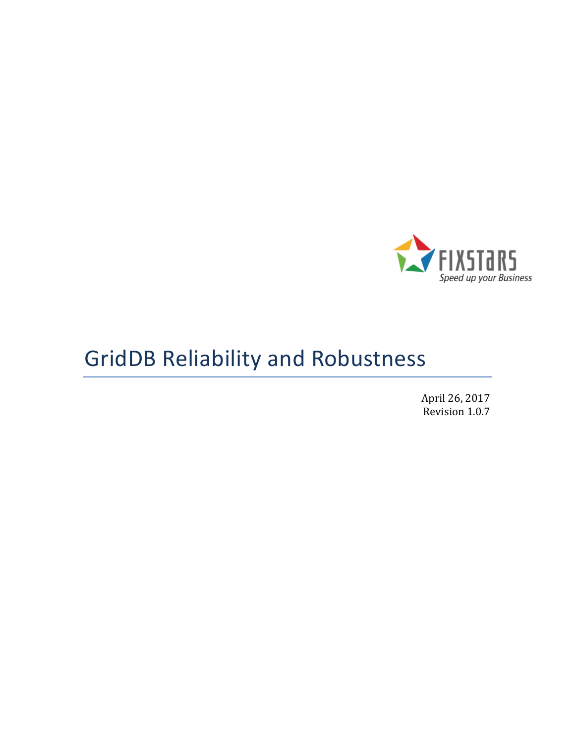

# GridDB Reliability and Robustness

April 26, 2017 Revision 1.0.7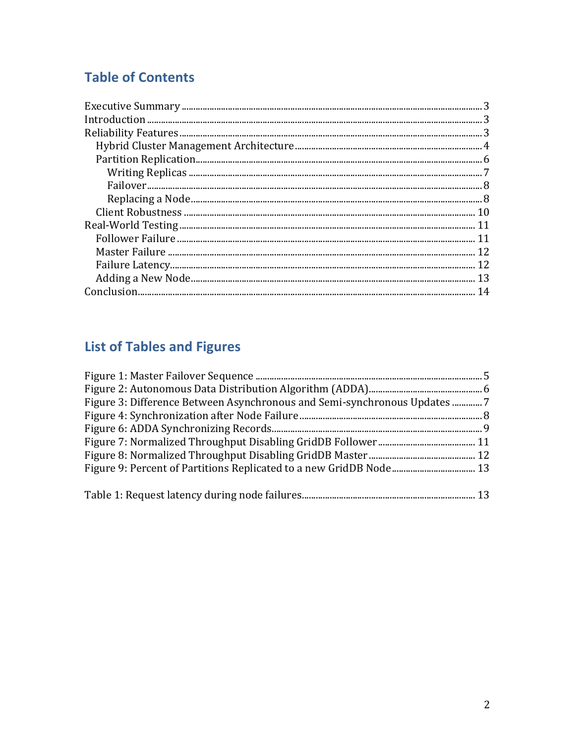## **Table of Contents**

## **List of Tables and Figures**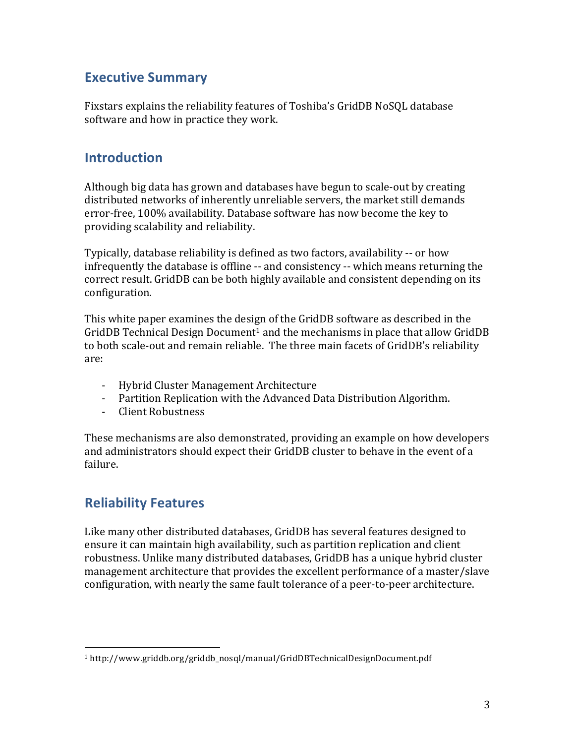## **Executive Summary**

Fixstars explains the reliability features of Toshiba's GridDB NoSQL database software and how in practice they work.

### **Introduction**

Although big data has grown and databases have begun to scale-out by creating distributed networks of inherently unreliable servers, the market still demands error-free, 100% availability. Database software has now become the key to providing scalability and reliability.

Typically, database reliability is defined as two factors, availability -- or how infrequently the database is offline -- and consistency -- which means returning the correct result. GridDB can be both highly available and consistent depending on its configuration.

This white paper examines the design of the GridDB software as described in the GridDB Technical Design Document<sup>1</sup> and the mechanisms in place that allow GridDB to both scale-out and remain reliable. The three main facets of GridDB's reliability are:

- Hybrid Cluster Management Architecture
- Partition Replication with the Advanced Data Distribution Algorithm.
- Client Robustness

These mechanisms are also demonstrated, providing an example on how developers and administrators should expect their GridDB cluster to behave in the event of a failure.

## **Reliability Features**

 

Like many other distributed databases, GridDB has several features designed to ensure it can maintain high availability, such as partition replication and client robustness. Unlike many distributed databases, GridDB has a unique hybrid cluster management architecture that provides the excellent performance of a master/slave configuration, with nearly the same fault tolerance of a peer-to-peer architecture.

<sup>1</sup> http://www.griddb.org/griddb\_nosql/manual/GridDBTechnicalDesignDocument.pdf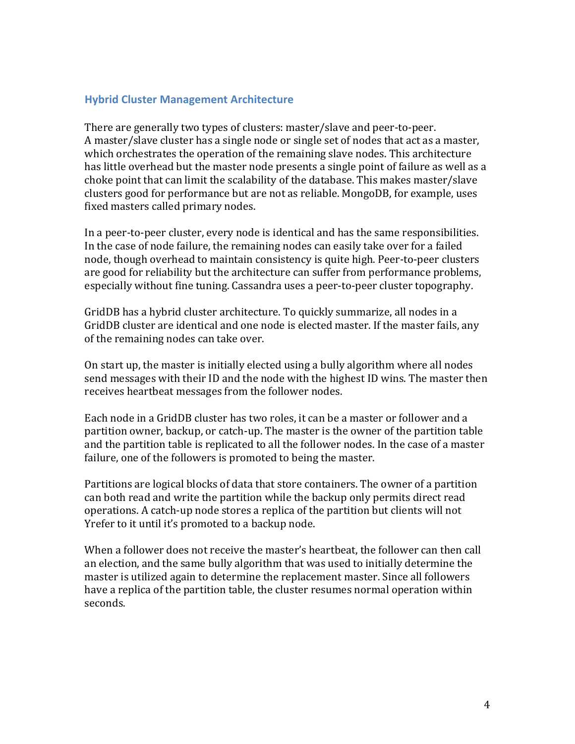#### **Hybrid Cluster Management Architecture**

There are generally two types of clusters: master/slave and peer-to-peer. A master/slave cluster has a single node or single set of nodes that act as a master, which orchestrates the operation of the remaining slave nodes. This architecture has little overhead but the master node presents a single point of failure as well as a choke point that can limit the scalability of the database. This makes master/slave clusters good for performance but are not as reliable. MongoDB, for example, uses fixed masters called primary nodes.

In a peer-to-peer cluster, every node is identical and has the same responsibilities. In the case of node failure, the remaining nodes can easily take over for a failed node, though overhead to maintain consistency is quite high. Peer-to-peer clusters are good for reliability but the architecture can suffer from performance problems, especially without fine tuning. Cassandra uses a peer-to-peer cluster topography.

GridDB has a hybrid cluster architecture. To quickly summarize, all nodes in a GridDB cluster are identical and one node is elected master. If the master fails, any of the remaining nodes can take over.

On start up, the master is initially elected using a bully algorithm where all nodes send messages with their ID and the node with the highest ID wins. The master then receives heartbeat messages from the follower nodes.

Each node in a GridDB cluster has two roles, it can be a master or follower and a partition owner, backup, or catch-up. The master is the owner of the partition table and the partition table is replicated to all the follower nodes. In the case of a master failure, one of the followers is promoted to being the master.

Partitions are logical blocks of data that store containers. The owner of a partition can both read and write the partition while the backup only permits direct read operations. A catch-up node stores a replica of the partition but clients will not Yrefer to it until it's promoted to a backup node.

When a follower does not receive the master's heartbeat, the follower can then call an election, and the same bully algorithm that was used to initially determine the master is utilized again to determine the replacement master. Since all followers have a replica of the partition table, the cluster resumes normal operation within seconds.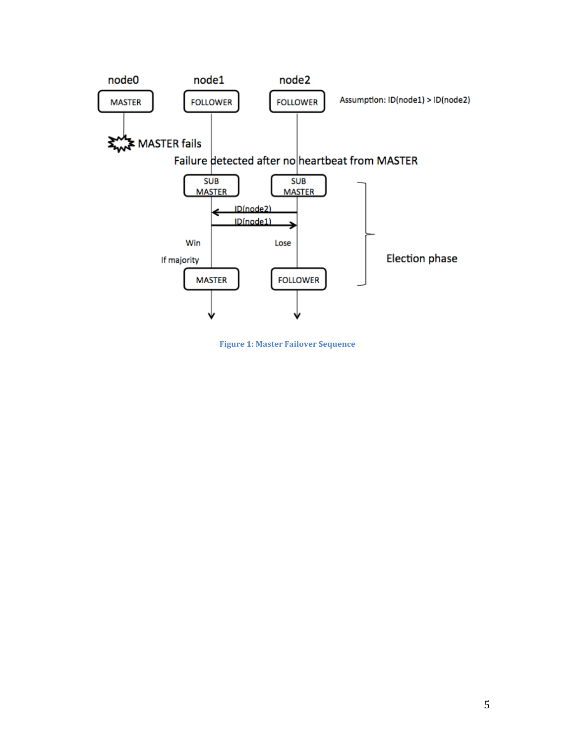

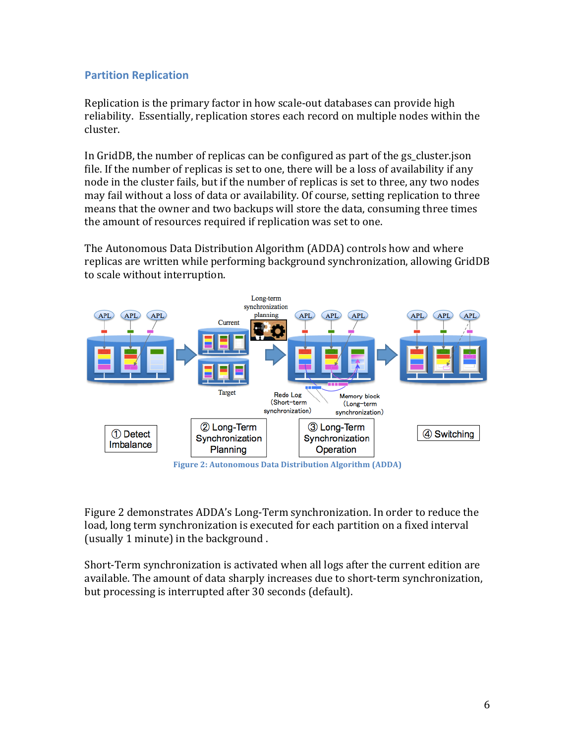#### **Partition Replication**

Replication is the primary factor in how scale-out databases can provide high reliability. Essentially, replication stores each record on multiple nodes within the cluster. 

In GridDB, the number of replicas can be configured as part of the gs cluster.json file. If the number of replicas is set to one, there will be a loss of availability if any node in the cluster fails, but if the number of replicas is set to three, any two nodes may fail without a loss of data or availability. Of course, setting replication to three means that the owner and two backups will store the data, consuming three times the amount of resources required if replication was set to one.

The Autonomous Data Distribution Algorithm (ADDA) controls how and where replicas are written while performing background synchronization, allowing GridDB to scale without interruption.



**Figure 2: Autonomous Data Distribution Algorithm (ADDA)** 

Figure 2 demonstrates ADDA's Long-Term synchronization. In order to reduce the load, long term synchronization is executed for each partition on a fixed interval (usually 1 minute) in the background.

Short-Term synchronization is activated when all logs after the current edition are available. The amount of data sharply increases due to short-term synchronization, but processing is interrupted after 30 seconds (default).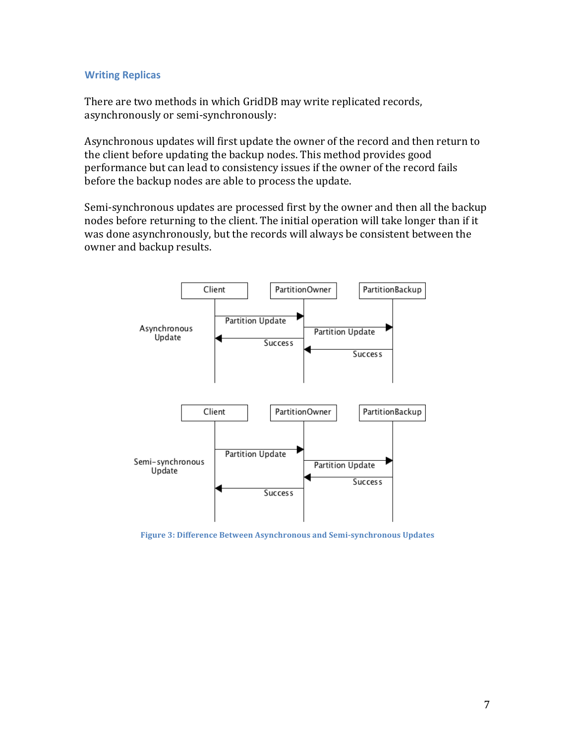#### **Writing Replicas**

There are two methods in which GridDB may write replicated records, asynchronously or semi-synchronously:

Asynchronous updates will first update the owner of the record and then return to the client before updating the backup nodes. This method provides good performance but can lead to consistency issues if the owner of the record fails before the backup nodes are able to process the update.

Semi-synchronous updates are processed first by the owner and then all the backup nodes before returning to the client. The initial operation will take longer than if it was done asynchronously, but the records will always be consistent between the owner and backup results.



Figure 3: Difference Between Asynchronous and Semi-synchronous Updates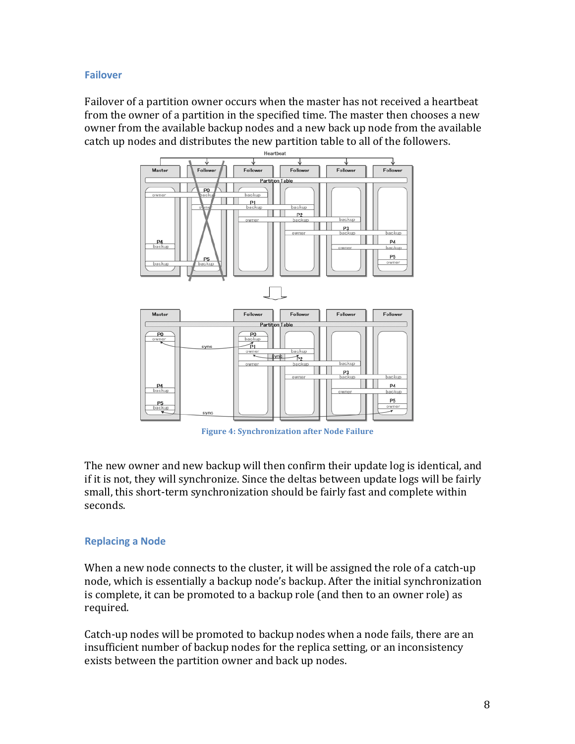#### **Failover**

Failover of a partition owner occurs when the master has not received a heartbeat from the owner of a partition in the specified time. The master then chooses a new owner from the available backup nodes and a new back up node from the available catch up nodes and distributes the new partition table to all of the followers.



**Figure 4: Synchronization after Node Failure** 

The new owner and new backup will then confirm their update log is identical, and if it is not, they will synchronize. Since the deltas between update logs will be fairly small, this short-term synchronization should be fairly fast and complete within seconds.

#### **Replacing a Node**

When a new node connects to the cluster, it will be assigned the role of a catch-up node, which is essentially a backup node's backup. After the initial synchronization is complete, it can be promoted to a backup role (and then to an owner role) as required.

Catch-up nodes will be promoted to backup nodes when a node fails, there are an insufficient number of backup nodes for the replica setting, or an inconsistency exists between the partition owner and back up nodes.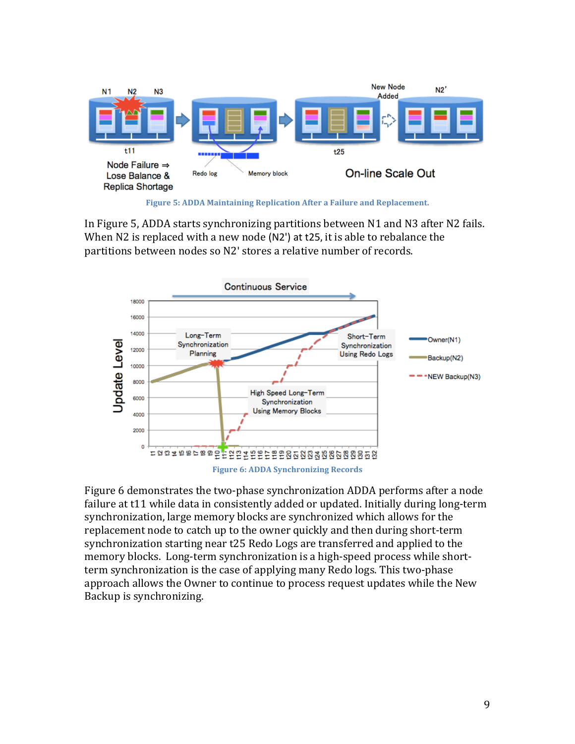

**Figure 5: ADDA Maintaining Replication After a Failure and Replacement.** 

In Figure 5, ADDA starts synchronizing partitions between  $N1$  and  $N3$  after  $N2$  fails. When  $N2$  is replaced with a new node ( $N2'$ ) at t25, it is able to rebalance the partitions between nodes so N2' stores a relative number of records.



Figure 6 demonstrates the two-phase synchronization ADDA performs after a node failure at t11 while data in consistently added or updated. Initially during long-term synchronization, large memory blocks are synchronized which allows for the replacement node to catch up to the owner quickly and then during short-term synchronization starting near t25 Redo Logs are transferred and applied to the memory blocks. Long-term synchronization is a high-speed process while shortterm synchronization is the case of applying many Redo logs. This two-phase approach allows the Owner to continue to process request updates while the New Backup is synchronizing.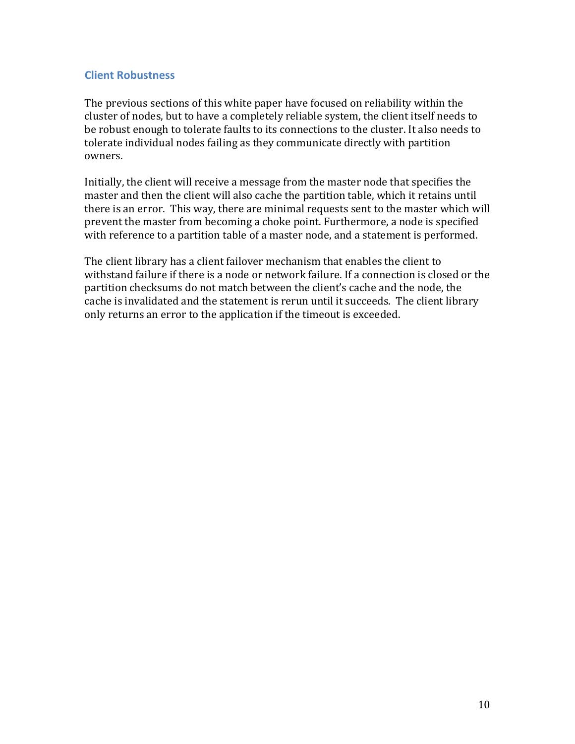#### **Client Robustness**

The previous sections of this white paper have focused on reliability within the cluster of nodes, but to have a completely reliable system, the client itself needs to be robust enough to tolerate faults to its connections to the cluster. It also needs to tolerate individual nodes failing as they communicate directly with partition owners.

Initially, the client will receive a message from the master node that specifies the master and then the client will also cache the partition table, which it retains until there is an error. This way, there are minimal requests sent to the master which will prevent the master from becoming a choke point. Furthermore, a node is specified with reference to a partition table of a master node, and a statement is performed.

The client library has a client failover mechanism that enables the client to withstand failure if there is a node or network failure. If a connection is closed or the partition checksums do not match between the client's cache and the node, the cache is invalidated and the statement is rerun until it succeeds. The client library only returns an error to the application if the timeout is exceeded.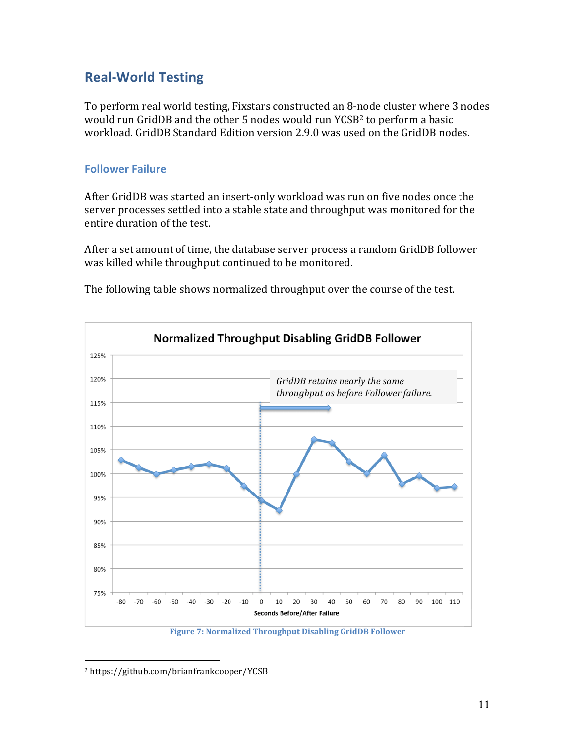## **Real-World Testing**

To perform real world testing, Fixstars constructed an 8-node cluster where 3 nodes would run GridDB and the other 5 nodes would run YCSB<sup>2</sup> to perform a basic workload. GridDB Standard Edition version 2.9.0 was used on the GridDB nodes.

#### **Follower Failure**

After GridDB was started an insert-only workload was run on five nodes once the server processes settled into a stable state and throughput was monitored for the entire duration of the test.

After a set amount of time, the database server process a random GridDB follower was killed while throughput continued to be monitored.



The following table shows normalized throughput over the course of the test.

**Figure 7: Normalized Throughput Disabling GridDB Follower** 

 <sup>2</sup> https://github.com/brianfrankcooper/YCSB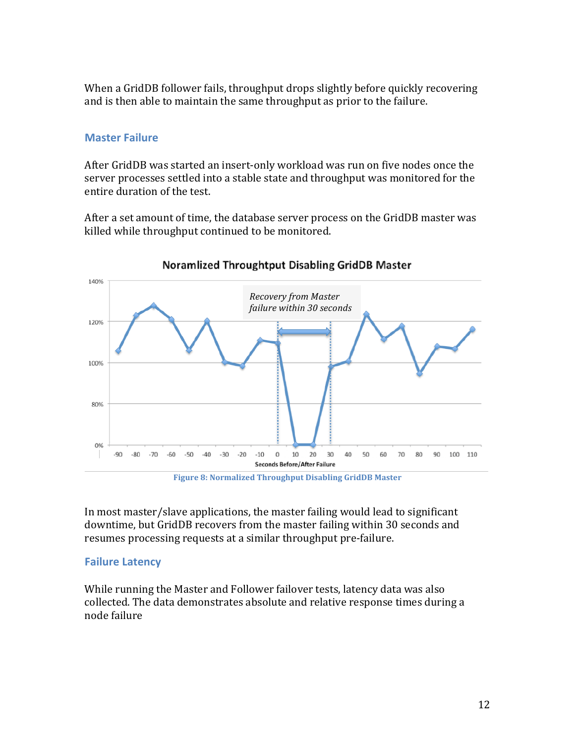When a GridDB follower fails, throughput drops slightly before quickly recovering and is then able to maintain the same throughput as prior to the failure.

#### **Master Failure**

After GridDB was started an insert-only workload was run on five nodes once the server processes settled into a stable state and throughput was monitored for the entire duration of the test.

After a set amount of time, the database server process on the GridDB master was killed while throughput continued to be monitored.



**Figure 8: Normalized Throughput Disabling GridDB Master** 

In most master/slave applications, the master failing would lead to significant downtime, but GridDB recovers from the master failing within 30 seconds and resumes processing requests at a similar throughput pre-failure.

#### **Failure Latency**

While running the Master and Follower failover tests, latency data was also collected. The data demonstrates absolute and relative response times during a node failure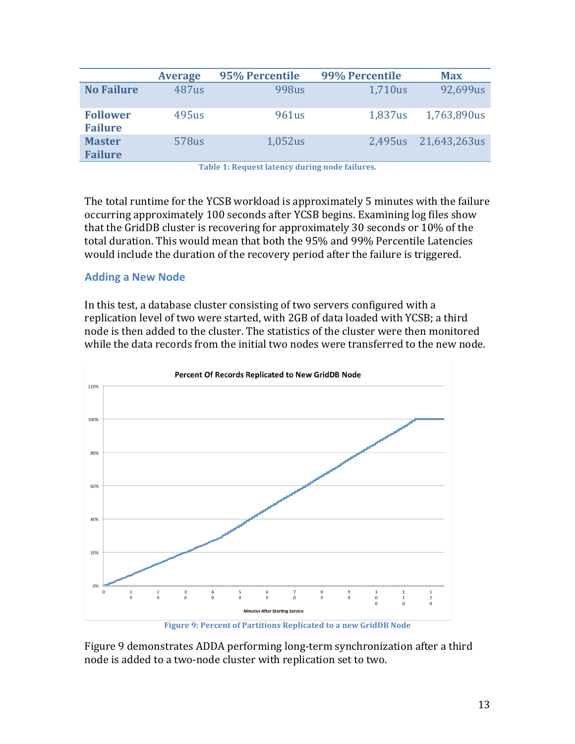|                                   | <b>Average</b>    | 95% Percentile | 99% Percentile | <b>Max</b>   |
|-----------------------------------|-------------------|----------------|----------------|--------------|
| <b>No Failure</b>                 | 487 <sub>us</sub> | 998us          | 1,710us        | 92,699us     |
| <b>Follower</b><br><b>Failure</b> | 495us             | 961us          | 1,837us        | 1,763,890us  |
| <b>Master</b><br><b>Failure</b>   | 578us             | $1,052$ us     | 2,495us        | 21,643,263us |

**Table 1: Request latency during node failures.** 

The total runtime for the YCSB workload is approximately 5 minutes with the failure occurring approximately 100 seconds after YCSB begins. Examining log files show that the GridDB cluster is recovering for approximately 30 seconds or  $10\%$  of the total duration. This would mean that both the 95% and 99% Percentile Latencies would include the duration of the recovery period after the failure is triggered.

#### **Adding a New Node**

In this test, a database cluster consisting of two servers configured with a replication level of two were started, with 2GB of data loaded with YCSB; a third node is then added to the cluster. The statistics of the cluster were then monitored while the data records from the initial two nodes were transferred to the new node.



**Figure 9: Percent of Partitions Replicated to a new GridDB Node** 

Figure 9 demonstrates ADDA performing long-term synchronization after a third node is added to a two-node cluster with replication set to two.